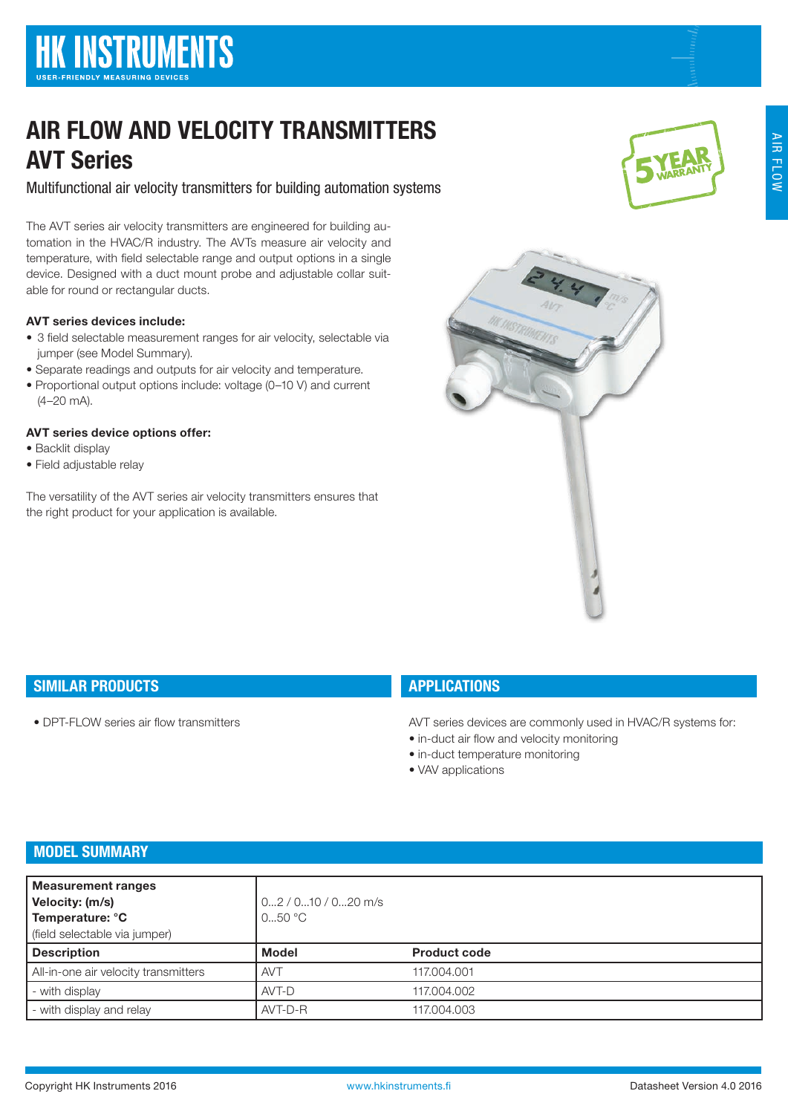# AIR FLOW AND VELOCITY TRANSMITTERS AVT Series

Multifunctional air velocity transmitters for building automation systems

The AVT series air velocity transmitters are engineered for building automation in the HVAC/R industry. The AVTs measure air velocity and temperature, with field selectable range and output options in a single device. Designed with a duct mount probe and adjustable collar suitable for round or rectangular ducts.

#### AVT series devices include:

- 3 field selectable measurement ranges for air velocity, selectable via jumper (see Model Summary).
- Separate readings and outputs for air velocity and temperature.
- Proportional output options include: voltage (0–10 V) and current (4–20 mA).

#### AVT series device options offer:

- Backlit display
- Field adjustable relay

The versatility of the AVT series air velocity transmitters ensures that the right product for your application is available.



# SIMILAR PRODUCTS

• DPT-FLOW series air flow transmitters

## **APPLICATIONS**

AVT series devices are commonly used in HVAC/R systems for:

- in-duct air flow and velocity monitoring
- in-duct temperature monitoring
- VAV applications

## MODEL SUMMARY

| Measurement ranges<br>Velocity: (m/s)<br>Temperature: °C<br>(field selectable via jumper) | 02 / 010 / 020 m/s<br>$050$ °C |                     |
|-------------------------------------------------------------------------------------------|--------------------------------|---------------------|
| Description                                                                               | <b>Model</b>                   | <b>Product code</b> |
| All-in-one air velocity transmitters                                                      | <b>AVT</b>                     | 117,004,001         |
| - with display                                                                            | AVT-D                          | 117,004,002         |
| - with display and relay                                                                  | AVT-D-R                        | 117,004,003         |